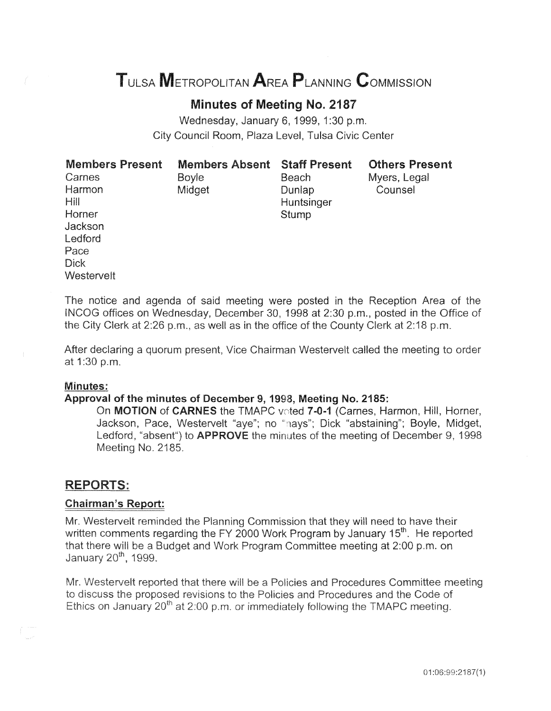# **METROPOLITAN AREA PLANNING COMMISSION**

# **Minutes of Meeting** No. 2187

Wednesday, January 6, 1999, 1:30 p.m. City Council Room, Plaza Level, Tulsa Civic Center

| Members Present |  |
|-----------------|--|
| Carnes          |  |
| Harmon          |  |
| Hill            |  |
| Horner          |  |
| Jackson         |  |
| l edford        |  |
| Pace            |  |
| Dick            |  |
| Westervelt      |  |
|                 |  |

Boyle **Beach** Midget Dunlap **Huntsinger** Stump

Members Absent Staff Present Others Present

Myers, Legal **Counsel** 

The notice and agenda of said meeting were posted in the Reception Area of the INCOG offices on Wednesday, December 30, 1998 at 2:30 p.m., posted in the Office of the City Clerk at 2:26 p.m., as well as in the office of the County Clerk at 2:18 p.m.

After declaring a quorum present, Vice Chairman Westervelt called the meeting to order at 1:30 p.m.

#### Minutes:

#### Approval of the minutes of December 9, 1998, Meeting No. 2185:

On MOTION of CARNES the TMAPC voted 7-0-1 (Carnes, Harmon, Hill, Horner, Jackson, Pace, Westervelt "aye"; no "nays"; Dick "abstaining"; Boyle, Midget, Ledford, "absent") to **APPROVE** the minutes of the meeting of December 9, 1998 Meeting No. 2185.

#### **REPORTS:**

#### **Chairman's Report:**

Mr. Westervelt reminded the Planning Commission that they will need to have their written comments regarding the FY 2000 Work Program by January 15<sup>th</sup>. He reported that there will be a Budget and Work Program Committee meeting at 2:00 p.m. on January 20<sup>th</sup>, 1999.

Mr. Westervelt reported that there will be a Policies and Procedures Committee meeting to discuss the proposed revisions to the Policies and Procedures and the Code of Ethics on January 20<sup>th</sup> at 2:00 p.m. or immediately following the TMAPC meeting.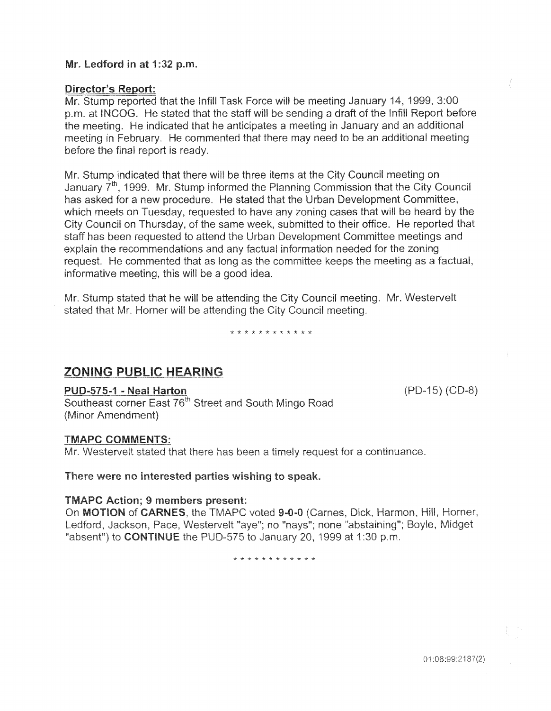#### Mr. Ledford in at 1:32 p.m.

#### **Director's Report:**

Mr. Stump reported that the Infill Task Force will be meeting January 14, 1999, 3:00 p.m. at INCOG. He stated that the staff will be sending a draft of the Infill Report before the meeting. He indicated that he anticipates a meeting in January and an additional meeting in February. He commented that there may need to be an additional meeting before the final report is ready.

Mr. Stump indicated that there will be three items at the City Council meeting on January 7<sup>th</sup>, 1999. Mr. Stump informed the Planning Commission that the City Council has asked for a new procedure. He stated that the Urban Development Committee, which meets on Tuesday, requested to have any zoning cases that will be heard by the City Council on Thursday, of the same week, submitted to their office. He reported that staff has been requested to attend the Urban Development Committee meetings and explain the recommendations and any factual information needed for the zoning request. He commented that as long as the committee keeps the meeting as a factual, informative meeting, this will be a good idea.

Mr. Stump stated that he will be attending the City Council meeting. Mr. Westervelt stated that Mr. Horner will be attending the City Council meeting.

\* \* \* \* \* \* \* \* \* \* \* \*

# **ZONING PUBLIC HEARING**

## PUD-575-1 - Neal Harton

Southeast corner East 76<sup>th</sup> Street and South Mingo Road (Minor Amendment)

## **TMAPC COMMENTS:**

Mr. Westervelt stated that there has been a timely request for a continuance.

#### There were no interested parties wishing to speak.

#### **TMAPC Action: 9 members present:**

On MOTION of CARNES, the TMAPC voted 9-0-0 (Carnes, Dick, Harmon, Hill, Horner, Ledford, Jackson, Pace, Westervelt "aye"; no "nays"; none "abstaining"; Boyle, Midget "absent") to CONTINUE the PUD-575 to January 20, 1999 at 1:30 p.m.

\* \* \* \* \* \* \* \* \* \* \* \*

 $(PD-15) (CD-8)$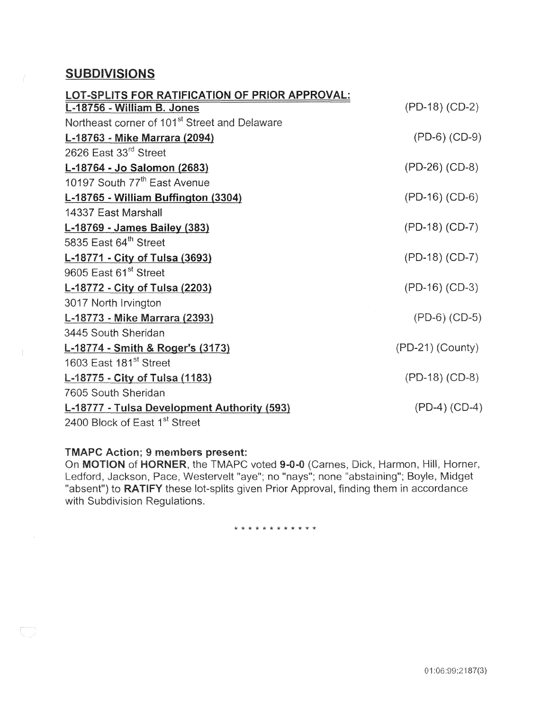## SUBDIVISIONS

| LOT-SPLITS FOR RATIFICATION OF PRIOR APPROVAL:            |                    |
|-----------------------------------------------------------|--------------------|
| L-18756 - William B. Jones                                | (PD-18) (CD-2)     |
| Northeast corner of 101 <sup>st</sup> Street and Delaware |                    |
| L-18763 - Mike Marrara (2094)                             | $(PD-6) (CD-9)$    |
| 2626 East 33 <sup>rd</sup> Street                         |                    |
| L-18764 - Jo Salomon (2683)                               | (PD-26) (CD-8)     |
| 10197 South 77 <sup>th</sup> East Avenue                  |                    |
| L-18765 - William Buffington (3304)                       | (PD-16) (CD-6)     |
| 14337 East Marshall                                       |                    |
| L-18769 - James Bailey (383)                              | (PD-18) (CD-7)     |
| 5835 East 64th Street                                     |                    |
| L-18771 - City of Tulsa (3693)                            | (PD-18) (CD-7)     |
| 9605 East 61 <sup>st</sup> Street                         |                    |
| L-18772 - City of Tulsa (2203)                            | $(PD-16) (CD-3)$   |
| 3017 North Irvington                                      |                    |
| L-18773 - Mike Marrara (2393)                             | $(PD-6) (CD-5)$    |
| 3445 South Sheridan                                       |                    |
| L-18774 - Smith & Roger's (3173)                          | $(PD-21)$ (County) |
| 1603 East 181 <sup>st</sup> Street                        |                    |
| L-18775 - City of Tulsa (1183)                            | $(PD-18) (CD-8)$   |
| 7605 South Sheridan                                       |                    |
| L-18777 - Tulsa Development Authority (593)               | $(PD-4) (CD-4)$    |
| 2400 Block of East 1 <sup>st</sup> Street                 |                    |

#### **TMAPC Action; 9 members present:**

 $\overline{\mathbb{C}}$ 

On MOTION of HORNER, the TMAPC voted 9-0-0 (Carnes, Dick, Harmon, Hill, Horner, Ledford, Jackson, Pace, Westervelt "aye"; no "nays"; none "abstaining"; Boyle, Midget "absent") to RATIFY these lot-splits given Prior Approval, finding them in accordance with Subdivision Regulations.

\* \* \* \* \* \* \* \* \* \* \*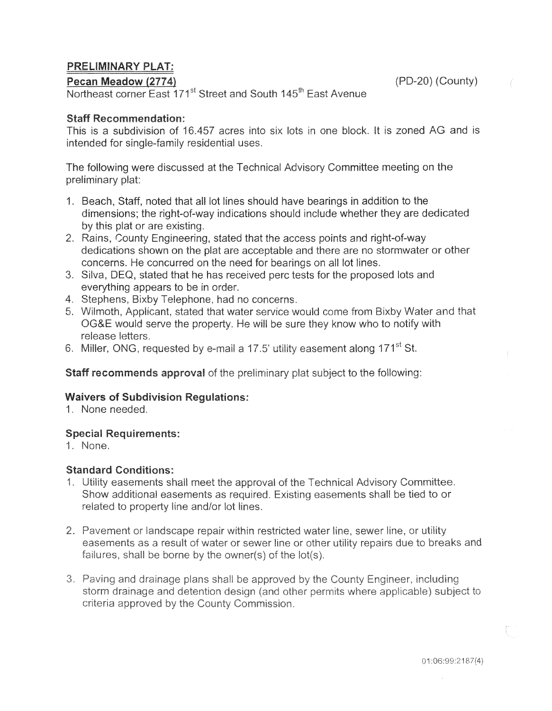# **PRELIMINARY PLAT:**

#### Pecan Meadow (2774)

Northeast corner East 171<sup>st</sup> Street and South 145<sup>th</sup> East Avenue

## **Staff Recommendation:**

This is a subdivision of 16.457 acres into six lots in one block. It is zoned AG and is intended for single-family residential uses.

The following were discussed at the Technical Advisory Committee meeting on the preliminary plat:

- 1. Beach, Staff, noted that all lot lines should have bearings in addition to the dimensions; the right-of-way indications should include whether they are dedicated by this plat or are existing.
- 2. Rains, County Engineering, stated that the access points and right-of-way dedications shown on the plat are acceptable and there are no stormwater or other concerns. He concurred on the need for bearings on all lot lines.
- 3. Silva, DEQ, stated that he has received perc tests for the proposed lots and everything appears to be in order.
- 4. Stephens, Bixby Telephone, had no concerns.
- 5. Wilmoth, Applicant, stated that water service would come from Bixby Water and that OG&E would serve the property. He will be sure they know who to notify with release letters.
- 6. Miller, ONG, requested by e-mail a 17.5' utility easement along 171<sup>st</sup> St.

## **Staff recommends approval** of the preliminary plat subject to the following:

## **Waivers of Subdivision Regulations:**

1. None needed.

## **Special Requirements:**

1. None.

## **Standard Conditions:**

- 1. Utility easements shall meet the approval of the Technical Advisory Committee. Show additional easements as required. Existing easements shall be tied to or related to property line and/or lot lines.
- 2. Pavement or landscape repair within restricted water line, sewer line, or utility easements as a result of water or sewer line or other utility repairs due to breaks and failures, shall be borne by the owner(s) of the lot(s).
- 3. Paving and drainage plans shall be approved by the County Engineer, including storm drainage and detention design (and other permits where applicable) subject to criteria approved by the County Commission.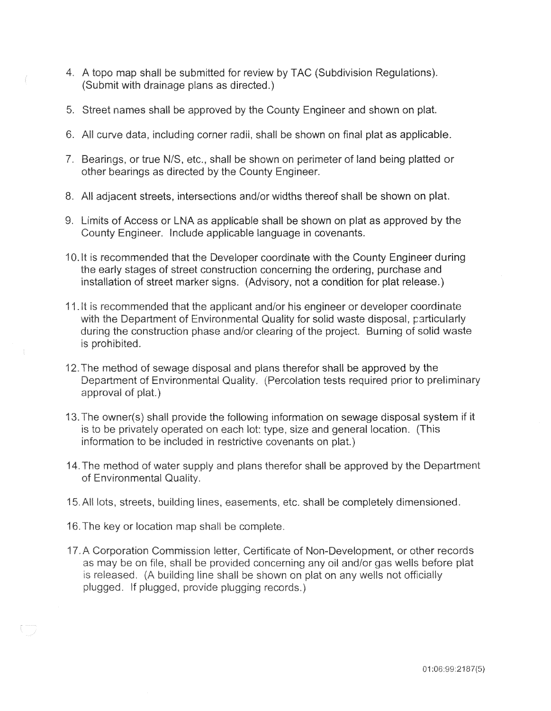- 4. A topo map shall be submitted for review by TAC (Subdivision Regulations). (Submit with drainage plans as directed.)
- 5. Street names shall be approved by the County Engineer and shown on plat.
- 6. All curve data, including corner radii, shall be shown on final plat as applicable.
- 7. Bearings, or true N/S, etc., shall be shown on perimeter of land being platted or other bearings as directed by the County Engineer.
- 8. All adjacent streets, intersections and/or widths thereof shall be shown on plat.
- 9. Limits of Access or LNA as applicable shall be shown on plat as approved by the County Engineer. Include applicable language in covenants.
- 10.It is recommended that the Developer coordinate with the County Engineer during the early stages of street construction concerning the ordering, purchase and installation of street marker signs. (Advisory, not a condition for plat release.)
- 11. It is recommended that the applicant and/or his engineer or developer coordinate with the Department of Environmental Quality for solid waste disposal, particularly during the construction phase and/or clearing of the project. Burning of solid waste is prohibited.
- 12. The method of sewage disposal and plans therefor shall be approved by the Department of Environmental Quality. (Percolation tests required prior to preliminary approval of plat.)
- 13. The owner(s) shall provide the following information on sewage disposal system if it information to be included in restrictive covenants on plat.)
- 14. The method of water supply and plans therefor shall be approved by the Department of Environmental Quality.
- 15. All lots, streets, building lines, easements, etc. shall be completely dimensioned.
- 16. The key or location map shall be complete.
- 17. A Corporation Commission letter, Certificate of Non-Development, or other records as may be on file, shall be provided concerning any oil and/or gas wells before plat is released. (A building line shall be shown on plat on any wells not officially plugged. If plugged, provide plugging records.)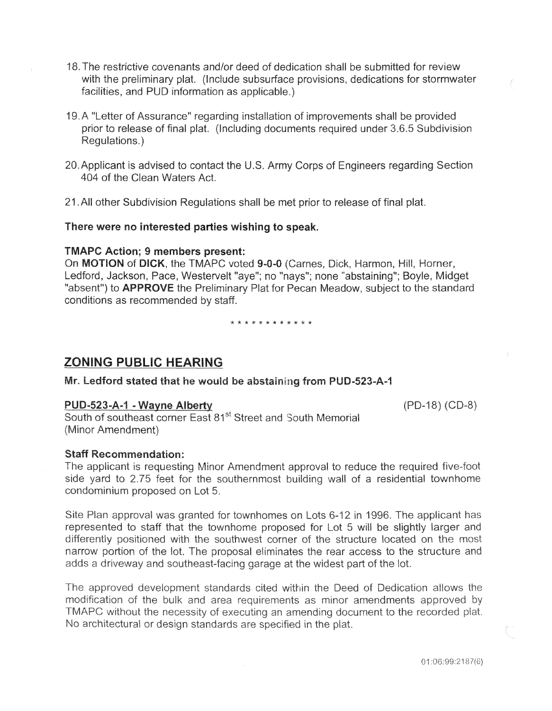- 18. The restrictive covenants and/or deed of dedication shall be submitted for review with the preliminary plat. (Include subsurface provisions, dedications for stormwater facilities, and PUD information as applicable.)
- 19. A "Letter of Assurance" regarding installation of improvements shall be provided prior to release of final plat. (Including documents required under 3.6.5 Subdivision Requlations.)
- 20. Applicant is advised to contact the U.S. Army Corps of Engineers regarding Section 404 of the Clean Waters Act.
- 21. All other Subdivision Regulations shall be met prior to release of final plat.

#### There were no interested parties wishing to speak.

#### **TMAPC Action; 9 members present:**

On MOTION of DICK, the TMAPC voted 9-0-0 (Carnes, Dick, Harmon, Hill, Horner, Ledford, Jackson, Pace, Westervelt "aye"; no "nays"; none "abstaining"; Boyle, Midget "absent") to **APPROVE** the Preliminary Plat for Pecan Meadow, subject to the standard conditions as recommended by staff.

\* \* \* \* \* \* \* \* \* \* \* \*

# **ZONING PUBLIC HEARING**

Mr. Ledford stated that he would be abstaining from PUD-523-A-1

#### PUD-523-A-1 - Wayne Alberty

(PD-18) (CD-8)

South of southeast corner East 81<sup>st</sup> Street and South Memorial (Minor Amendment)

## **Staff Recommendation:**

The applicant is requesting Minor Amendment approval to reduce the required five-foot side yard to 2.75 feet for the southernmost building wall of a residential townhome condominium proposed on Lot 5.

Site Plan approval was granted for townhomes on Lots 6-12 in 1996. The applicant has represented to staff that the townhome proposed for Lot 5 will be slightly larger and differently positioned with the southwest corner of the structure located on the most narrow portion of the lot. The proposal eliminates the rear access to the structure and adds a driveway and southeast-facing garage at the widest part of the lot.

The approved development standards cited within the Deed of Dedication allows the modification of the bulk and area requirements as minor amendments approved by TMAPC without the necessity of executing an amending document to the recorded plat. No architectural or design standards are specified in the plat.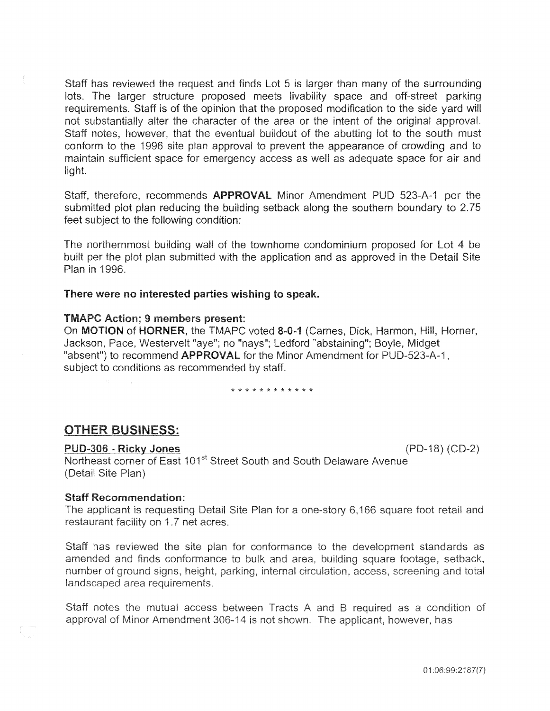Staff has reviewed the request and finds Lot 5 is larger than many of the surrounding lots. The larger structure proposed meets livability space and off-street parking requirements. Staff is of the opinion that the proposed modification to the side yard will not substantially alter the character of the area or the intent of the original approval. Staff notes, however, that the eventual buildout of the abutting lot to the south must conform to the 1996 site plan approval to prevent the appearance of crowding and to maintain sufficient space for emergency access as well as adequate space for air and liaht.

Staff, therefore, recommends APPROVAL Minor Amendment PUD 523-A-1 per the submitted plot plan reducing the building setback along the southern boundary to 2.75 feet subject to the following condition:

The northernmost building wall of the townhome condominium proposed for Lot 4 be built per the plot plan submitted with the application and as approved in the Detail Site Plan in 1996.

#### There were no interested parties wishing to speak.

#### **TMAPC Action; 9 members present:**

On MOTION of HORNER, the TMAPC voted 8-0-1 (Carnes, Dick, Harmon, Hill, Horner, Jackson, Pace, Westervelt "aye"; no "nays"; Ledford "abstaining"; Boyle, Midget "absent") to recommend APPROVAL for the Minor Amendment for PUD-523-A-1. subject to conditions as recommended by staff.

\* \* \* \* \* \* \* \* \* \* \* \*

#### **OTHER BUSINESS:**

#### PUD-306 - Ricky Jones

Northeast corner of East 101<sup>st</sup> Street South and South Delaware Avenue (Detail Site Plan)

#### **Staff Recommendation:**

The applicant is requesting Detail Site Plan for a one-story 6,166 square foot retail and restaurant facility on 1.7 net acres.

Staff has reviewed the site plan for conformance to the development standards as amended and finds conformance to bulk and area, building square footage, setback, number of ground signs, height, parking, internal circulation, access, screening and total landscaped area requirements.

Staff notes the mutual access between Tracts A and B required as a condition of approval of Minor Amendment 306-14 is not shown. The applicant, however, has

01:06:99:2187(7)

 $(PD-18) (CD-2)$